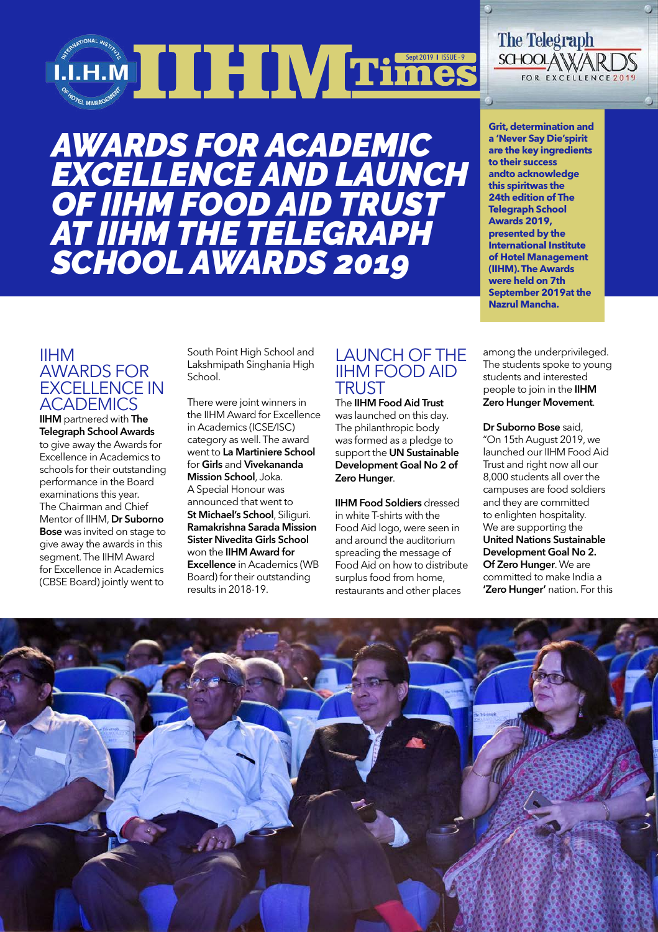# **SEPTIMENT 2019 IN THE SEPTEMBER 3 RECORD INSURANCE 2019 IN THE TRIP 2019 IN THE OPTIME 2**

*Awards for Academic Excellence and Launch*  **OF IIHM FOOD AID TRUS** *at IIHM The Telegraph School Awards 2019*



**Grit, determination and a 'Never Say Die'spirit are the key ingredients to their success andto acknowledge this spiritwas the 24th edition of The Telegraph School Awards 2019, presented by the International Institute of Hotel Management (IIHM). The Awards were held on 7th September 2019at the Nazrul Mancha.**

#### IIHM Awards for Excellence in **ACADEMICS**

**IIHM** partnered with The Telegraph School Awards to give away the Awards for Excellence in Academics to schools for their outstanding performance in the Board examinations this year. The Chairman and Chief Mentor of IIHM, Dr Suborno **Bose** was invited on stage to give away the awards in this segment. The IIHM Award for Excellence in Academics (CBSE Board) jointly went to

South Point High School and Lakshmipath Singhania High School.

There were joint winners in the IIHM Award for Excellence in Academics (ICSE/ISC) category as well. The award went to La Martiniere School for Girls and Vivekananda Mission School, Joka. A Special Honour was announced that went to St Michael's School, Siliguri. Ramakrishna Sarada Mission Sister Nivedita Girls School won the IIHM Award for Excellence in Academics (WB Board) for their outstanding results in 2018-19.

#### Launch of the **IIHM FOOD AID TRUST**

The IIHM Food Aid Trust was launched on this day. The philanthropic body was formed as a pledge to support the UN Sustainable Development Goal No 2 of Zero Hunger.

IIHM Food Soldiers dressed in white T-shirts with the Food Aid logo, were seen in and around the auditorium spreading the message of Food Aid on how to distribute surplus food from home, restaurants and other places

among the underprivileged. The students spoke to young students and interested people to join in the IIHM Zero Hunger Movement.

Dr Suborno Bose said, "On 15th August 2019, we launched our IIHM Food Aid Trust and right now all our 8,000 students all over the campuses are food soldiers and they are committed to enlighten hospitality. We are supporting the United Nations Sustainable Development Goal No 2. Of Zero Hunger. We are committed to make India a 'Zero Hunger' nation. For this

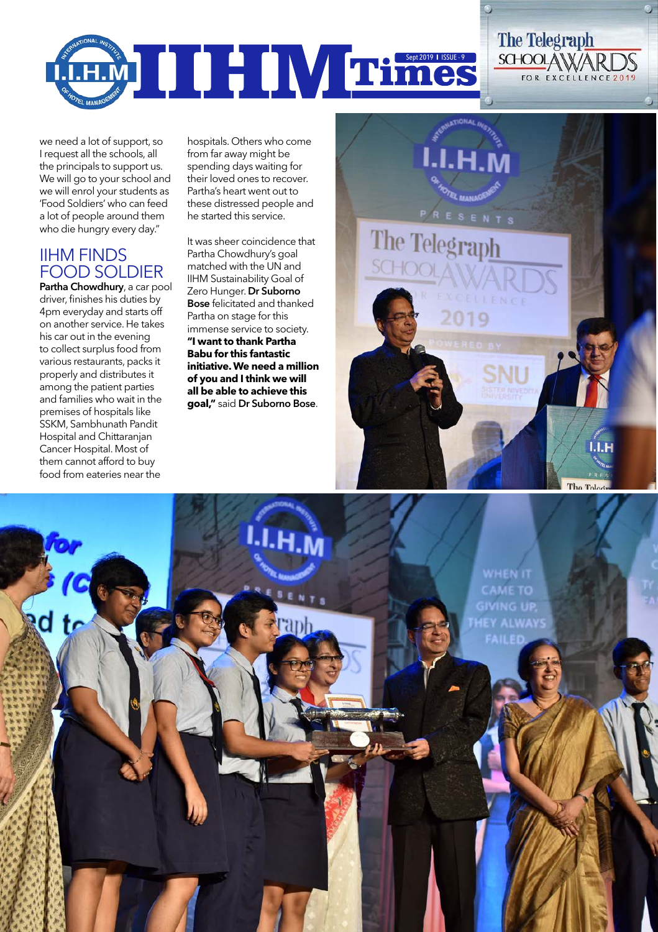

we need a lot of support, so I request all the schools, all the principals to support us. We will go to your school and we will enrol your students as 'Food Soldiers' who can feed a lot of people around them who die hungry every day."

### **IIHM FINDS** Food Soldier

Partha Chowdhury, a car pool driver, finishes his duties by 4pm everyday and starts off on another service. He takes his car out in the evening to collect surplus food from various restaurants, packs it properly and distributes it among the patient parties and families who wait in the premises of hospitals like SSKM, Sambhunath Pandit Hospital and Chittaranjan Cancer Hospital. Most of them cannot afford to buy food from eateries near the

hospitals. Others who come from far away might be spending days waiting for their loved ones to recover. Partha's heart went out to these distressed people and he started this service.

It was sheer coincidence that Partha Chowdhury's goal matched with the UN and IIHM Sustainability Goal of Zero Hunger. Dr Suborno Bose felicitated and thanked Partha on stage for this immense service to society. **"I want to thank Partha Babu for this fantastic initiative. We need a million of you and I think we will all be able to achieve this goal,"** said Dr Suborno Bose.



The Telegraph

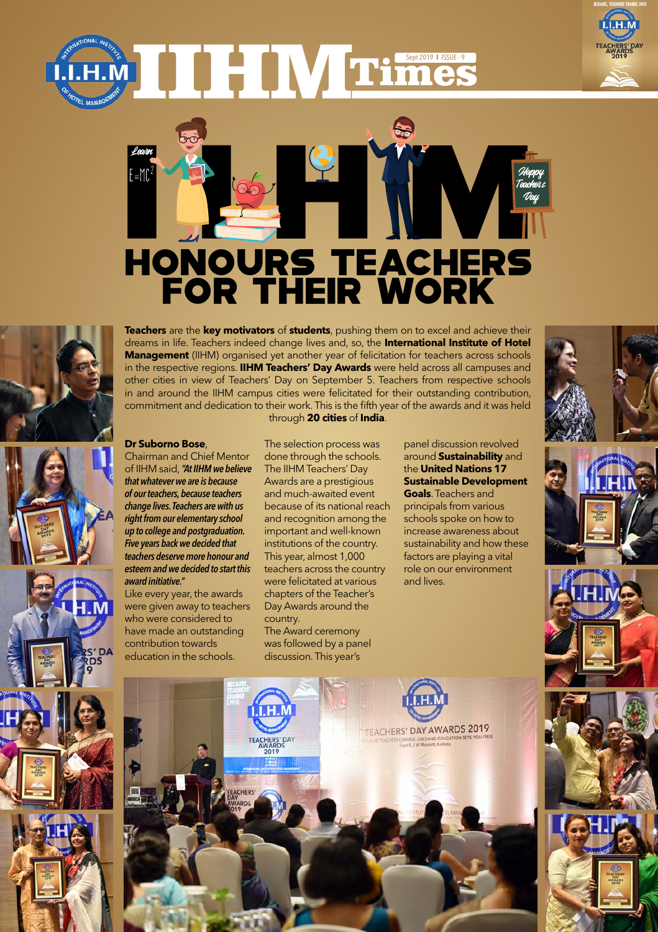



## IIHM honours teachers for their work



**Teachers** are the **key motivators** of **students**, pushing them on to excel and achieve their dreams in life. Teachers indeed change lives and, so, the **International Institute of Hotel Management** (IIHM) organised yet another year of felicitation for teachers across schools in the respective regions. **IIHM Teachers' Day Awards** were held across all campuses and other cities in view of Teachers' Day on September 5. Teachers from respective schools in and around the IIHM campus cities were felicitated for their outstanding contribution, commitment and dedication to their work. This is the fifth year of the awards and it was held through **20 cities** of **India**.

#### **Dr Suborno Bose**,

Chairman and Chief Mentor of IIHM said, *"At IIHM we believe that whatever we are is because of our teachers, because teachers change lives. Teachers are with us right from our elementary school up to college and postgraduation. Five years back we decided that teachers deserve more honour and esteem and we decided to start this award initiative."*

Like every year, the awards were given away to teachers who were considered to have made an outstanding contribution towards education in the schools.

The selection process was done through the schools. The IIHM Teachers' Day Awards are a prestigious and much-awaited event because of its national reach and recognition among the important and well-known institutions of the country. This year, almost 1,000 teachers across the country were felicitated at various chapters of the Teacher's Day Awards around the country. The Award ceremony

was followed by a panel discussion. This year's

panel discussion revolved around **Sustainability** and the **United Nations 17 Sustainable Development Goals**. Teachers and principals from various schools spoke on how to increase awareness about sustainability and how these factors are playing a vital role on our environment and lives.



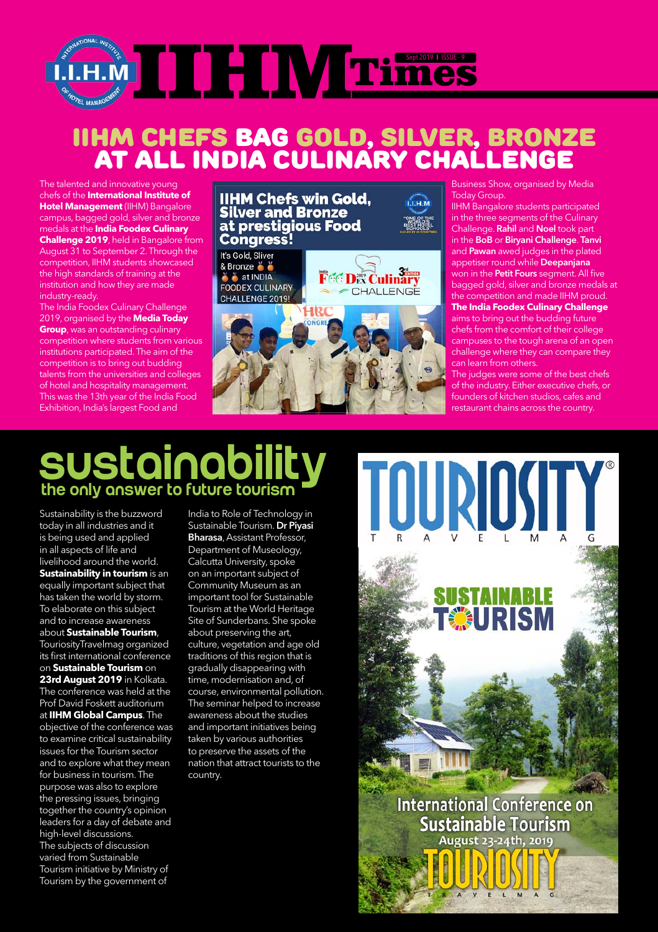

### IIHM Chefs bag Gold, Silver, Bronze at All India Culinary Challenge

The talented and innovative young chefs of the **International Institute of Hotel Management** (IIHM) Bangalore campus, bagged gold, silver and bronze medals at the **India Foodex Culinary Challenge 2019**, held in Bangalore from August 31 to September 2. Through the competition, IIHM students showcased the high standards of training at the institution and how they are made industry-ready.

The India Foodex Culinary Challenge 2019, organised by the **Media Today Group**, was an outstanding culinary competition where students from various institutions participated. The aim of the competition is to bring out budding talents from the universities and colleges of hotel and hospitality management. This was the 13th year of the India Food Exhibition, India's largest Food and





Business Show, organised by Media Today Group.

IIHM Bangalore students participated in the three segments of the Culinary Challenge. Rahil and Noel took part in the BoB or Biryani Challenge. Tanvi and Pawan awed judges in the plated appetiser round while **Deepanjana** won in the **Petit Fours** segment. All five bagged gold, silver and bronze medals at the competition and made IIHM proud.

**The India Foodex Culinary Challenge** aims to bring out the budding future chefs from the comfort of their college campuses to the tough arena of an open challenge where they can compare they can learn from others.

The judges were some of the best chefs of the industry. Either executive chefs, or founders of kitchen studios, cafes and restaurant chains across the country.

## **SUStainability**

Sustainability is the buzzword today in all industries and it is being used and applied in all aspects of life and livelihood around the world. **Sustainability in tourism** is an equally important subject that has taken the world by storm. To elaborate on this subject and to increase awareness about **Sustainable Tourism**, TouriosityTravelmag organized its first international conference on **Sustainable Tourism** on 23rd August 2019 in Kolkata. The conference was held at the Prof David Foskett auditorium at **IIHM Global Campus**. The objective of the conference was to examine critical sustainability issues for the Tourism sector and to explore what they mean for business in tourism. The purpose was also to explore the pressing issues, bringing together the country's opinion leaders for a day of debate and high-level discussions. The subjects of discussion varied from Sustainable Tourism initiative by Ministry of Tourism by the government of

India to Role of Technology in Sustainable Tourism. Dr Piyasi Bharasa, Assistant Professor, Department of Museology, Calcutta University, spoke on an important subject of Community Museum as an important tool for Sustainable Tourism at the World Heritage Site of Sunderbans. She spoke about preserving the art, culture, vegetation and age old traditions of this region that is gradually disappearing with time, modernisation and, of course, environmental pollution. The seminar helped to increase awareness about the studies and important initiatives being taken by various authorities to preserve the assets of the nation that attract tourists to the country.